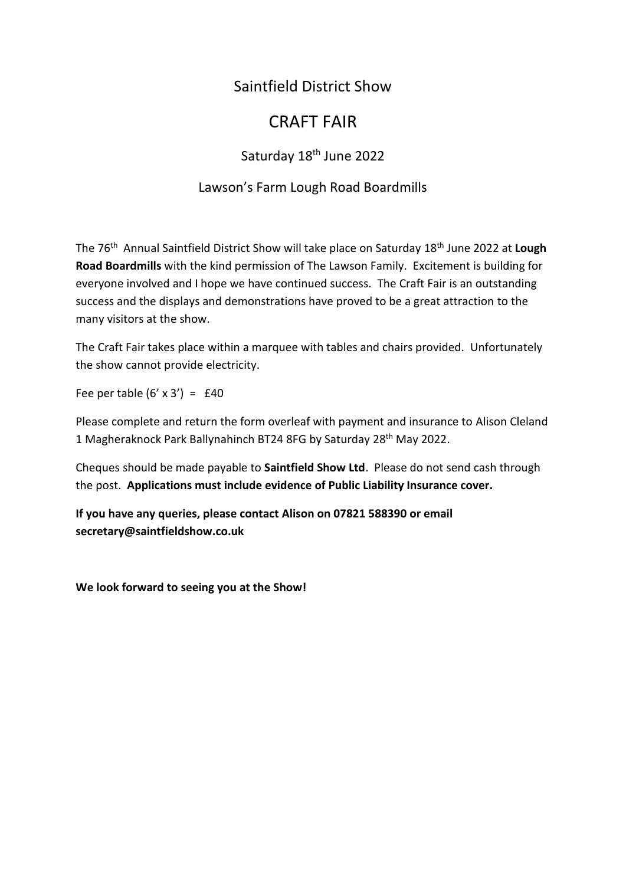## Saintfield District Show

# CRAFT FAIR

## Saturday 18<sup>th</sup> June 2022

#### Lawson's Farm Lough Road Boardmills

The 76 th Annual Saintfield District Show will take place on Saturday 18th June 2022 at **Lough Road Boardmills** with the kind permission of The Lawson Family. Excitement is building for everyone involved and I hope we have continued success. The Craft Fair is an outstanding success and the displays and demonstrations have proved to be a great attraction to the many visitors at the show.

The Craft Fair takes place within a marquee with tables and chairs provided. Unfortunately the show cannot provide electricity.

Fee per table  $(6' \times 3') = £40$ 

Please complete and return the form overleaf with payment and insurance to Alison Cleland 1 Magheraknock Park Ballynahinch BT24 8FG by Saturday 28th May 2022.

Cheques should be made payable to **Saintfield Show Ltd**. Please do not send cash through the post. **Applications must include evidence of Public Liability Insurance cover.** 

**If you have any queries, please contact Alison on 07821 588390 or email secretary@saintfieldshow.co.uk**

**We look forward to seeing you at the Show!**